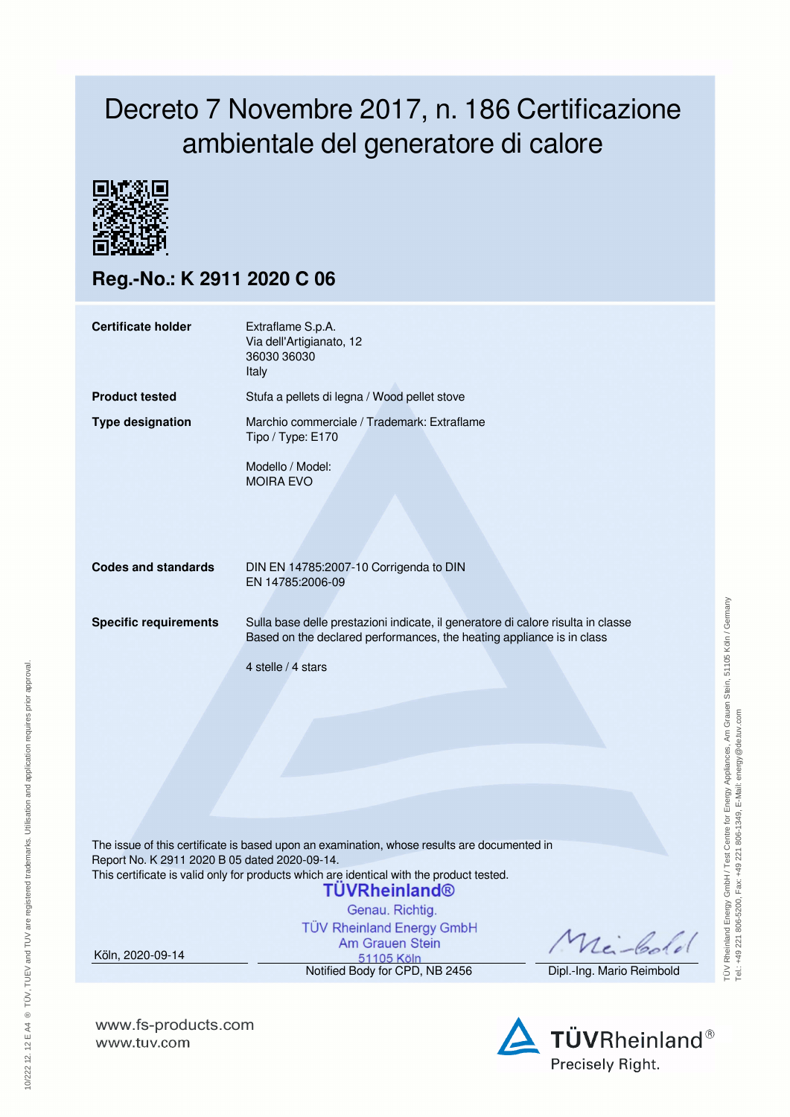## Decreto 7 Novembre 2017, n. 186 Certificazione ambientale del generatore di calore



**Reg.-No.: K 2911 2020 C 06**

| <b>Certificate holder</b>                                                                                                                                                                                                                | Extraflame S.p.A.<br>Via dell'Artigianato, 12<br>36030 36030                                                                                              |                           |  |  |  |  |
|------------------------------------------------------------------------------------------------------------------------------------------------------------------------------------------------------------------------------------------|-----------------------------------------------------------------------------------------------------------------------------------------------------------|---------------------------|--|--|--|--|
|                                                                                                                                                                                                                                          | <b>Italy</b>                                                                                                                                              |                           |  |  |  |  |
| <b>Product tested</b>                                                                                                                                                                                                                    | Stufa a pellets di legna / Wood pellet stove                                                                                                              |                           |  |  |  |  |
| <b>Type designation</b>                                                                                                                                                                                                                  | Marchio commerciale / Trademark: Extraflame<br>Tipo / Type: E170                                                                                          |                           |  |  |  |  |
|                                                                                                                                                                                                                                          | Modello / Model:<br><b>MOIRA EVO</b>                                                                                                                      |                           |  |  |  |  |
|                                                                                                                                                                                                                                          |                                                                                                                                                           |                           |  |  |  |  |
| <b>Codes and standards</b>                                                                                                                                                                                                               | DIN EN 14785:2007-10 Corrigenda to DIN<br>EN 14785:2006-09                                                                                                |                           |  |  |  |  |
| <b>Specific requirements</b>                                                                                                                                                                                                             | Sulla base delle prestazioni indicate, il generatore di calore risulta in classe<br>Based on the declared performances, the heating appliance is in class |                           |  |  |  |  |
|                                                                                                                                                                                                                                          | 4 stelle / 4 stars                                                                                                                                        |                           |  |  |  |  |
|                                                                                                                                                                                                                                          |                                                                                                                                                           |                           |  |  |  |  |
|                                                                                                                                                                                                                                          |                                                                                                                                                           |                           |  |  |  |  |
| The issue of this certificate is based upon an examination, whose results are documented in<br>Report No. K 2911 2020 B 05 dated 2020-09-14.<br>This certificate is valid only for products which are identical with the product tested. |                                                                                                                                                           |                           |  |  |  |  |
|                                                                                                                                                                                                                                          | <b>TÜVRheinland®</b><br>Genau. Richtig.                                                                                                                   |                           |  |  |  |  |
| Köln, 2020-09-14                                                                                                                                                                                                                         | <b>TÜV Rheinland Energy GmbH</b><br>Am Grauen Stein<br>51105 Köln                                                                                         | nei-Cool                  |  |  |  |  |
|                                                                                                                                                                                                                                          | Notified Body for CPD, NB 2456                                                                                                                            | Dipl.-Ing. Mario Reimbold |  |  |  |  |
|                                                                                                                                                                                                                                          |                                                                                                                                                           |                           |  |  |  |  |